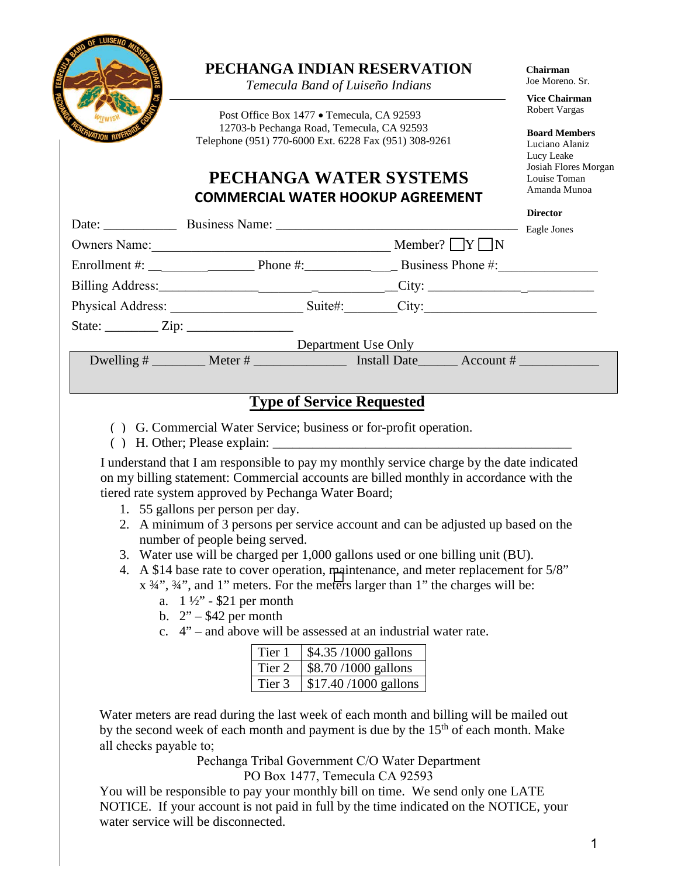|  | PECHANGA INDIAN RESERVATION<br>Temecula Band of Luiseño Indians<br>Post Office Box 1477 . Temecula, CA 92593<br>12703-b Pechanga Road, Temecula, CA 92593<br>Telephone (951) 770-6000 Ext. 6228 Fax (951) 308-9261                                                                            |  | Chairman<br>Joe Moreno. Sr.<br><b>Vice Chairman</b>                   |
|--|-----------------------------------------------------------------------------------------------------------------------------------------------------------------------------------------------------------------------------------------------------------------------------------------------|--|-----------------------------------------------------------------------|
|  |                                                                                                                                                                                                                                                                                               |  | Robert Vargas<br><b>Board Members</b><br>Luciano Alaniz<br>Lucy Leake |
|  | PECHANGA WATER SYSTEMS<br><b>COMMERCIAL WATER HOOKUP AGREEMENT</b>                                                                                                                                                                                                                            |  | Josiah Flores Morgan<br>Louise Toman<br>Amanda Munoa                  |
|  |                                                                                                                                                                                                                                                                                               |  | <b>Director</b>                                                       |
|  |                                                                                                                                                                                                                                                                                               |  |                                                                       |
|  |                                                                                                                                                                                                                                                                                               |  |                                                                       |
|  |                                                                                                                                                                                                                                                                                               |  |                                                                       |
|  |                                                                                                                                                                                                                                                                                               |  |                                                                       |
|  |                                                                                                                                                                                                                                                                                               |  |                                                                       |
|  | State: $\frac{\text{Zip:}}{\text{Up:}}$                                                                                                                                                                                                                                                       |  |                                                                       |
|  |                                                                                                                                                                                                                                                                                               |  |                                                                       |
|  |                                                                                                                                                                                                                                                                                               |  |                                                                       |
|  | <b>Type of Service Requested</b>                                                                                                                                                                                                                                                              |  |                                                                       |
|  | ( ) G. Commercial Water Service; business or for-profit operation.                                                                                                                                                                                                                            |  |                                                                       |
|  | I understand that I am responsible to pay my monthly service charge by the date indicated<br>on my billing statement: Commercial accounts are billed monthly in accordance with the<br>tiered rate system approved by Pechanga Water Board;<br>1. 55 gallons per person per day.              |  |                                                                       |
|  | 2. A minimum of 3 persons per service account and can be adjusted up based on the<br>number of people being served.                                                                                                                                                                           |  |                                                                       |
|  | 3. Water use will be charged per 1,000 gallons used or one billing unit (BU).<br>4. A \$14 base rate to cover operation, maintenance, and meter replacement for 5/8"<br>x 3/4", 3/4", and 1" meters. For the meters larger than 1" the charges will be:<br>a. $1\frac{1}{2}$ - \$21 per month |  |                                                                       |
|  | b. $2" - $42$ per month<br>c. $4"$ – and above will be assessed at an industrial water rate.                                                                                                                                                                                                  |  |                                                                       |
|  | Tier 1<br>\$4.35 /1000 gallons<br>\$8.70/1000 gallons<br>Tier 2<br>\$17.40/1000 gallons<br>Tier 3                                                                                                                                                                                             |  |                                                                       |

Water meters are read during the last week of each month and billing will be mailed out by the second week of each month and payment is due by the  $15<sup>th</sup>$  of each month. Make all checks payable to;

Pechanga Tribal Government C/O Water Department

PO Box 1477, Temecula CA 92593

You will be responsible to pay your monthly bill on time. We send only one LATE NOTICE. If your account is not paid in full by the time indicated on the NOTICE, your water service will be disconnected.